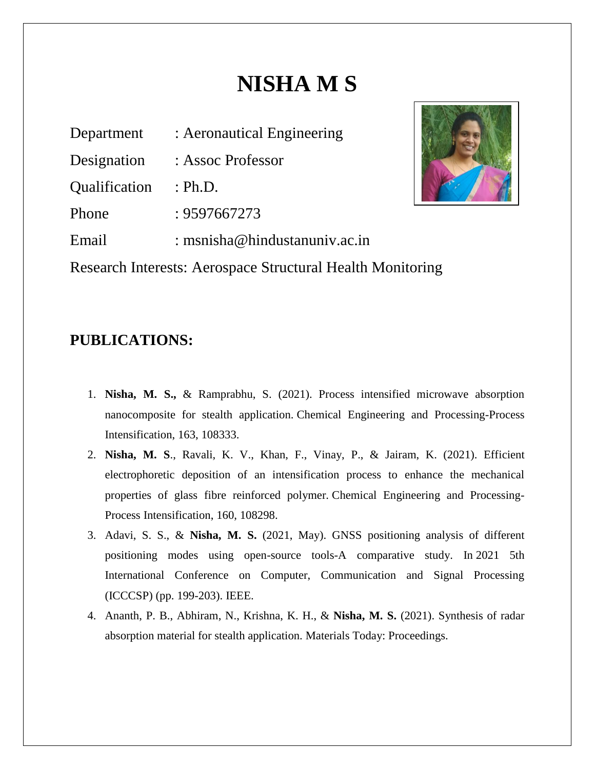# **NISHA M S**

| Department                                                 | : Aeronautical Engineering    |  |
|------------------------------------------------------------|-------------------------------|--|
| Designation                                                | : Assoc Professor             |  |
| Qualification                                              | : Ph.D.                       |  |
| Phone                                                      | : 9597667273                  |  |
| Email                                                      | : msnisha@hindustanuniv.ac.in |  |
| Research Interests: Aerospace Structural Health Monitoring |                               |  |



# **PUBLICATIONS:**

- 1. **Nisha, M. S.,** & Ramprabhu, S. (2021). Process intensified microwave absorption nanocomposite for stealth application. Chemical Engineering and Processing-Process Intensification, 163, 108333.
- 2. **Nisha, M. S**., Ravali, K. V., Khan, F., Vinay, P., & Jairam, K. (2021). Efficient electrophoretic deposition of an intensification process to enhance the mechanical properties of glass fibre reinforced polymer. Chemical Engineering and Processing-Process Intensification, 160, 108298.
- 3. Adavi, S. S., & **Nisha, M. S.** (2021, May). GNSS positioning analysis of different positioning modes using open-source tools-A comparative study. In 2021 5th International Conference on Computer, Communication and Signal Processing (ICCCSP) (pp. 199-203). IEEE.
- 4. Ananth, P. B., Abhiram, N., Krishna, K. H., & **Nisha, M. S.** (2021). Synthesis of radar absorption material for stealth application. Materials Today: Proceedings.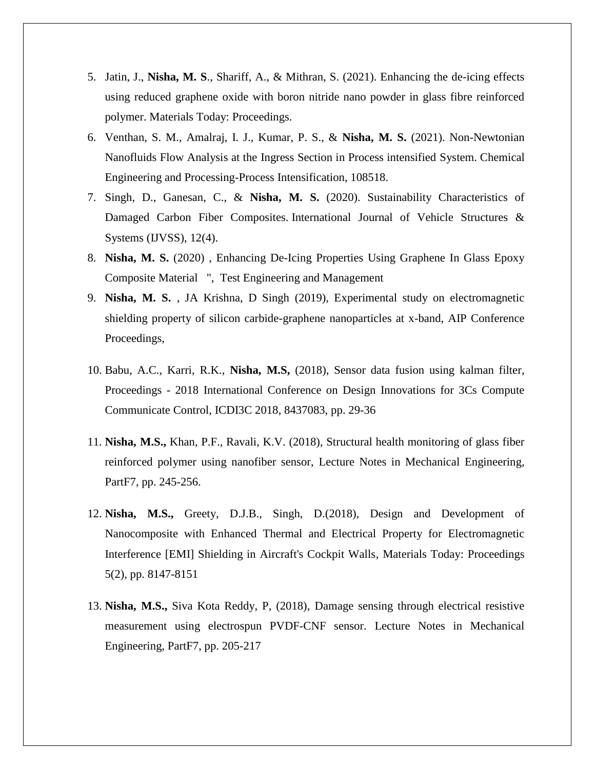- 5. Jatin, J., **Nisha, M. S**., Shariff, A., & Mithran, S. (2021). Enhancing the de-icing effects using reduced graphene oxide with boron nitride nano powder in glass fibre reinforced polymer. Materials Today: Proceedings.
- 6. Venthan, S. M., Amalraj, I. J., Kumar, P. S., & **Nisha, M. S.** (2021). Non-Newtonian Nanofluids Flow Analysis at the Ingress Section in Process intensified System. Chemical Engineering and Processing-Process Intensification, 108518.
- 7. Singh, D., Ganesan, C., & **Nisha, M. S.** (2020). Sustainability Characteristics of Damaged Carbon Fiber Composites. International Journal of Vehicle Structures & Systems (IJVSS), 12(4).
- 8. **Nisha, M. S.** (2020) , [Enhancing De-Icing Properties Using Graphene In Glass Epoxy](javascript:void(0))  [Composite Material ",](javascript:void(0)) Test Engineering and Management
- 9. **Nisha, M. S.** , JA Krishna, D Singh (2019), [Experimental study on electromagnetic](https://scholar.google.com/scholar?oi=bibs&cluster=6827565575996635306&btnI=1&hl=en)  [shielding property of silicon carbide-graphene nanoparticles at x-band,](https://scholar.google.com/scholar?oi=bibs&cluster=6827565575996635306&btnI=1&hl=en) AIP Conference Proceedings,
- 10. Babu, A.C., Karri, R.K., **Nisha, M.S,** (2018), Sensor data fusion using kalman filter, Proceedings - 2018 International Conference on Design Innovations for 3Cs Compute Communicate Control, ICDI3C 2018, 8437083, pp. 29-36
- 11. **Nisha, M.S.,** Khan, P.F., Ravali, K.V. (2018), Structural health monitoring of glass fiber reinforced polymer using nanofiber sensor, Lecture Notes in Mechanical Engineering, PartF7, pp. 245-256.
- 12. **Nisha, M.S.,** Greety, D.J.B., Singh, D.(2018), Design and Development of Nanocomposite with Enhanced Thermal and Electrical Property for Electromagnetic Interference [EMI] Shielding in Aircraft's Cockpit Walls, Materials Today: Proceedings 5(2), pp. 8147-8151
- 13. **Nisha, M.S.,** Siva Kota Reddy, P, (2018), Damage sensing through electrical resistive measurement using electrospun PVDF-CNF sensor. Lecture Notes in Mechanical Engineering, PartF7, pp. 205-217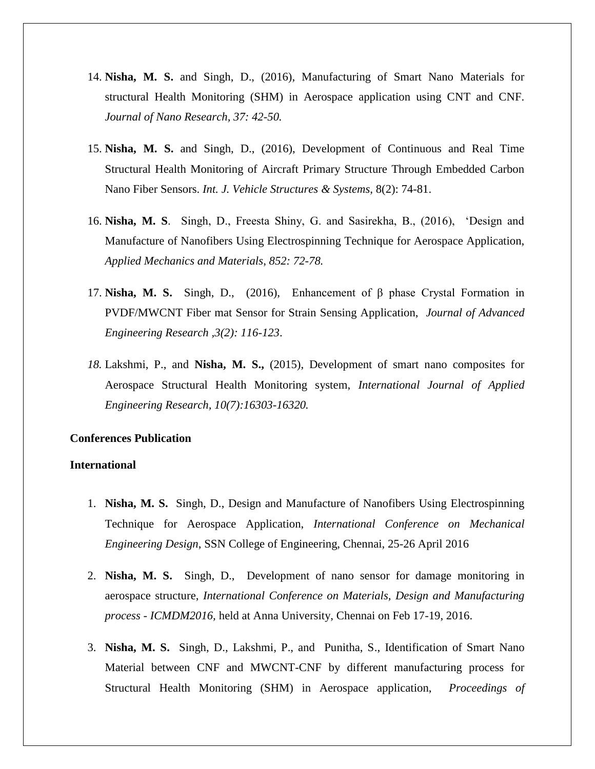- 14. **Nisha, M. S.** and Singh, D., (2016), Manufacturing of Smart Nano Materials for structural Health Monitoring (SHM) in Aerospace application using CNT and CNF. *Journal of Nano Research, 37: 42-50.*
- 15. **Nisha, M. S.** and Singh, D., (2016), Development of Continuous and Real Time Structural Health Monitoring of Aircraft Primary Structure Through Embedded Carbon Nano Fiber Sensors. *Int. J. Vehicle Structures & Systems*, 8(2): 74-81.
- 16. **Nisha, M. S**. Singh, D., Freesta Shiny, G. and Sasirekha, B., (2016), 'Design and Manufacture of Nanofibers Using Electrospinning Technique for Aerospace Application, *Applied Mechanics and Materials*, *852: 72-78.*
- 17. **Nisha, M. S.** Singh, D., (2016), Enhancement of β phase Crystal Formation in PVDF/MWCNT Fiber mat Sensor for Strain Sensing Application, *Journal of Advanced Engineering Research ,3(2): 116-123*.
- *18.* Lakshmi, P., and **Nisha, M. S.,** (2015), Development of smart nano composites for Aerospace Structural Health Monitoring system, *International Journal of Applied Engineering Research, 10(7):16303-16320.*

# **Conferences Publication**

# **International**

- 1. **Nisha, M. S.** Singh, D., Design and Manufacture of Nanofibers Using Electrospinning Technique for Aerospace Application, *International Conference on Mechanical Engineering Design*, SSN College of Engineering, Chennai, 25-26 April 2016
- 2. **Nisha, M. S.** Singh, D., Development of nano sensor for damage monitoring in aerospace structure, *International Conference on Materials, Design and Manufacturing process - ICMDM2016,* held at Anna University, Chennai on Feb 17-19, 2016.
- 3. **Nisha, M. S.** Singh, D., Lakshmi, P., and Punitha, S., Identification of Smart Nano Material between CNF and MWCNT-CNF by different manufacturing process for Structural Health Monitoring (SHM) in Aerospace application, *Proceedings of*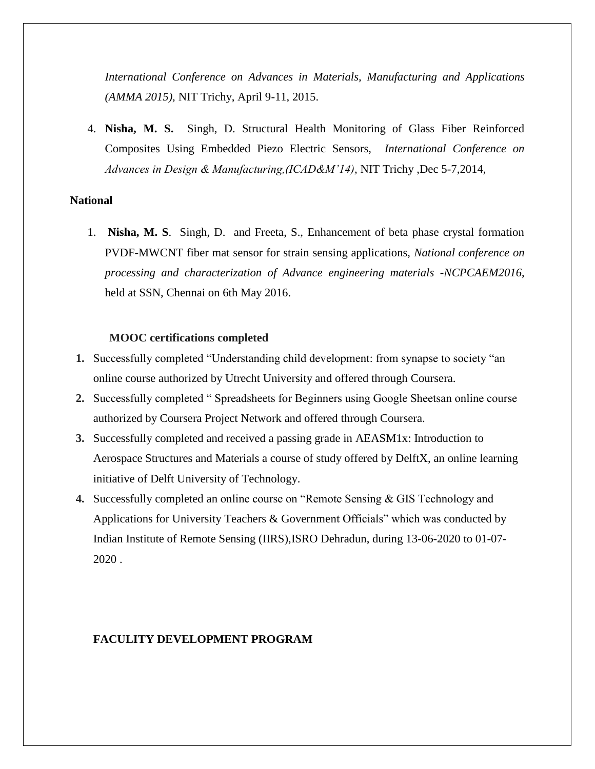*International Conference on Advances in Materials, Manufacturing and Applications (AMMA 2015),* NIT Trichy, April 9-11, 2015.

4. **Nisha, M. S.** Singh, D. Structural Health Monitoring of Glass Fiber Reinforced Composites Using Embedded Piezo Electric Sensors, *International Conference on Advances in Design & Manufacturing,(ICAD&M'14),* NIT Trichy ,Dec 5-7,2014,

## **National**

1. **Nisha, M. S**. Singh, D. and Freeta, S., Enhancement of beta phase crystal formation PVDF-MWCNT fiber mat sensor for strain sensing applications, *National conference on processing and characterization of Advance engineering materials -NCPCAEM2016*, held at SSN, Chennai on 6th May 2016.

### **MOOC certifications completed**

- **1.** Successfully completed "Understanding child development: from synapse to society "an online course authorized by Utrecht University and offered through Coursera.
- **2.** Successfully completed " Spreadsheets for Beginners using Google Sheetsan online course authorized by Coursera Project Network and offered through Coursera.
- **3.** Successfully completed and received a passing grade in AEASM1x: Introduction to Aerospace Structures and Materials a course of study offered by DelftX, an online learning initiative of Delft University of Technology.
- **4.** Successfully completed an online course on "Remote Sensing & GIS Technology and Applications for University Teachers & Government Officials" which was conducted by Indian Institute of Remote Sensing (IIRS),ISRO Dehradun, during 13-06-2020 to 01-07- 2020 .

## **FACULITY DEVELOPMENT PROGRAM**